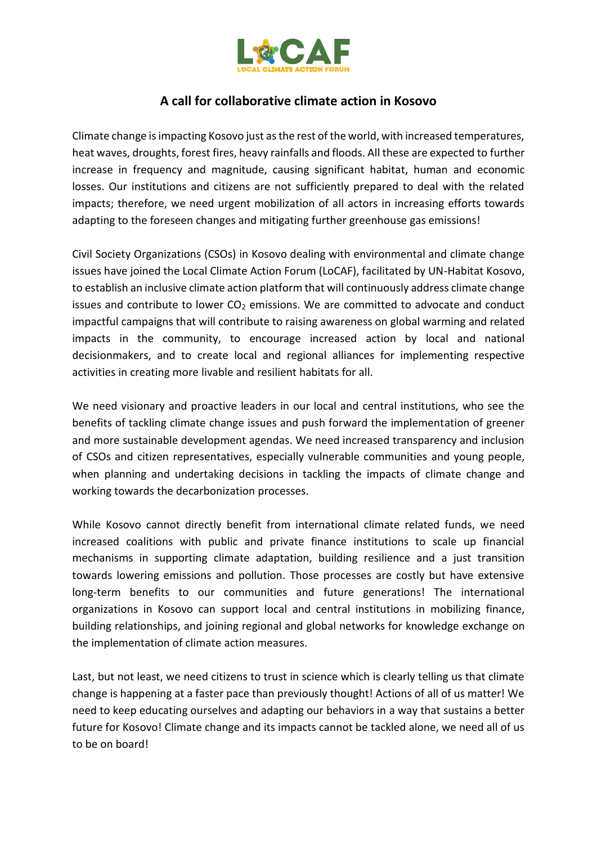

## **A call for collaborative climate action in Kosovo**

Climate change is impacting Kosovo just as the rest of the world, with increased temperatures, heat waves, droughts, forest fires, heavy rainfalls and floods. All these are expected to further increase in frequency and magnitude, causing significant habitat, human and economic losses. Our institutions and citizens are not sufficiently prepared to deal with the related impacts; therefore, we need urgent mobilization of all actors in increasing efforts towards adapting to the foreseen changes and mitigating further greenhouse gas emissions!

Civil Society Organizations (CSOs) in Kosovo dealing with environmental and climate change issues have joined the Local Climate Action Forum (LoCAF), facilitated by UN-Habitat Kosovo, to establish an inclusive climate action platform that will continuously address climate change issues and contribute to lower  $CO<sub>2</sub>$  emissions. We are committed to advocate and conduct impactful campaigns that will contribute to raising awareness on global warming and related impacts in the community, to encourage increased action by local and national decisionmakers, and to create local and regional alliances for implementing respective activities in creating more livable and resilient habitats for all.

We need visionary and proactive leaders in our local and central institutions, who see the benefits of tackling climate change issues and push forward the implementation of greener and more sustainable development agendas. We need increased transparency and inclusion of CSOs and citizen representatives, especially vulnerable communities and young people, when planning and undertaking decisions in tackling the impacts of climate change and working towards the decarbonization processes.

While Kosovo cannot directly benefit from international climate related funds, we need increased coalitions with public and private finance institutions to scale up financial mechanisms in supporting climate adaptation, building resilience and a just transition towards lowering emissions and pollution. Those processes are costly but have extensive long-term benefits to our communities and future generations! The international organizations in Kosovo can support local and central institutions in mobilizing finance, building relationships, and joining regional and global networks for knowledge exchange on the implementation of climate action measures.

Last, but not least, we need citizens to trust in science which is clearly telling us that climate change is happening at a faster pace than previously thought! Actions of all of us matter! We need to keep educating ourselves and adapting our behaviors in a way that sustains a better future for Kosovo! Climate change and its impacts cannot be tackled alone, we need all of us to be on board!